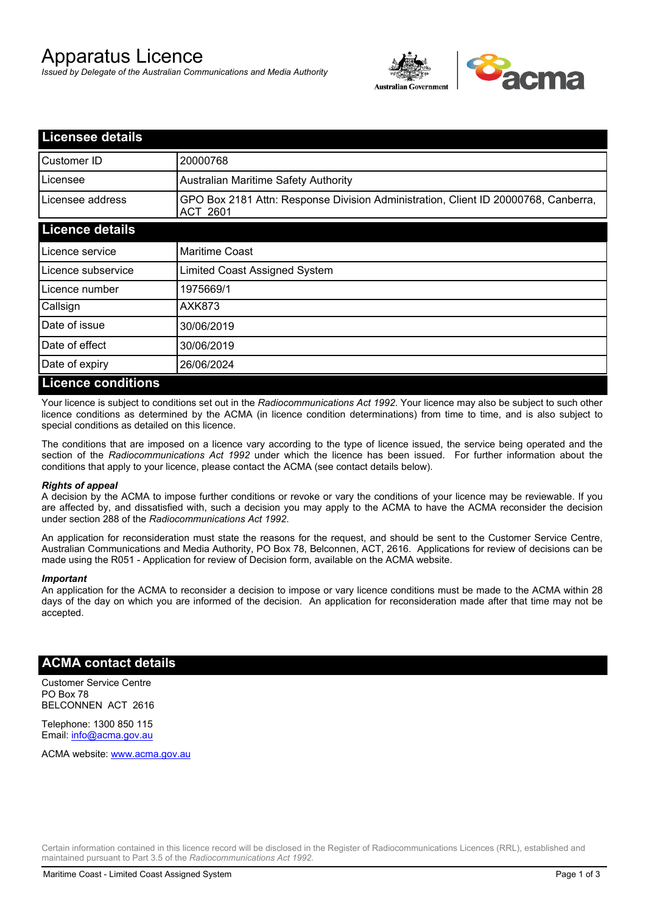# Apparatus Licence

*Issued by Delegate of the Australian Communications and Media Authority*



| <b>Licensee details</b>   |                                                                                                       |
|---------------------------|-------------------------------------------------------------------------------------------------------|
| Customer ID               | 20000768                                                                                              |
| Licensee                  | <b>Australian Maritime Safety Authority</b>                                                           |
| Licensee address          | GPO Box 2181 Attn: Response Division Administration, Client ID 20000768, Canberra,<br><b>ACT 2601</b> |
| <b>Licence details</b>    |                                                                                                       |
| Licence service           | <b>Maritime Coast</b>                                                                                 |
| Licence subservice        | Limited Coast Assigned System                                                                         |
| Licence number            | 1975669/1                                                                                             |
| Callsign                  | <b>AXK873</b>                                                                                         |
| Date of issue             | 30/06/2019                                                                                            |
| Date of effect            | 30/06/2019                                                                                            |
| Date of expiry            | 26/06/2024                                                                                            |
| <b>Licence conditions</b> |                                                                                                       |

Your licence is subject to conditions set out in the *Radiocommunications Act 1992*. Your licence may also be subject to such other licence conditions as determined by the ACMA (in licence condition determinations) from time to time, and is also subject to special conditions as detailed on this licence.

The conditions that are imposed on a licence vary according to the type of licence issued, the service being operated and the section of the *Radiocommunications Act 1992* under which the licence has been issued. For further information about the conditions that apply to your licence, please contact the ACMA (see contact details below).

### *Rights of appeal*

A decision by the ACMA to impose further conditions or revoke or vary the conditions of your licence may be reviewable. If you are affected by, and dissatisfied with, such a decision you may apply to the ACMA to have the ACMA reconsider the decision under section 288 of the *Radiocommunications Act 1992*.

An application for reconsideration must state the reasons for the request, and should be sent to the Customer Service Centre, Australian Communications and Media Authority, PO Box 78, Belconnen, ACT, 2616. Applications for review of decisions can be made using the R051 - Application for review of Decision form, available on the ACMA website.

#### *Important*

An application for the ACMA to reconsider a decision to impose or vary licence conditions must be made to the ACMA within 28 days of the day on which you are informed of the decision. An application for reconsideration made after that time may not be accepted.

### **ACMA contact details**

Customer Service Centre PO Box 78 BELCONNEN ACT 2616

Telephone: 1300 850 115 Email: info@acma.gov.au

ACMA website: www.acma.gov.au

Certain information contained in this licence record will be disclosed in the Register of Radiocommunications Licences (RRL), established and maintained pursuant to Part 3.5 of the *Radiocommunications Act 1992.*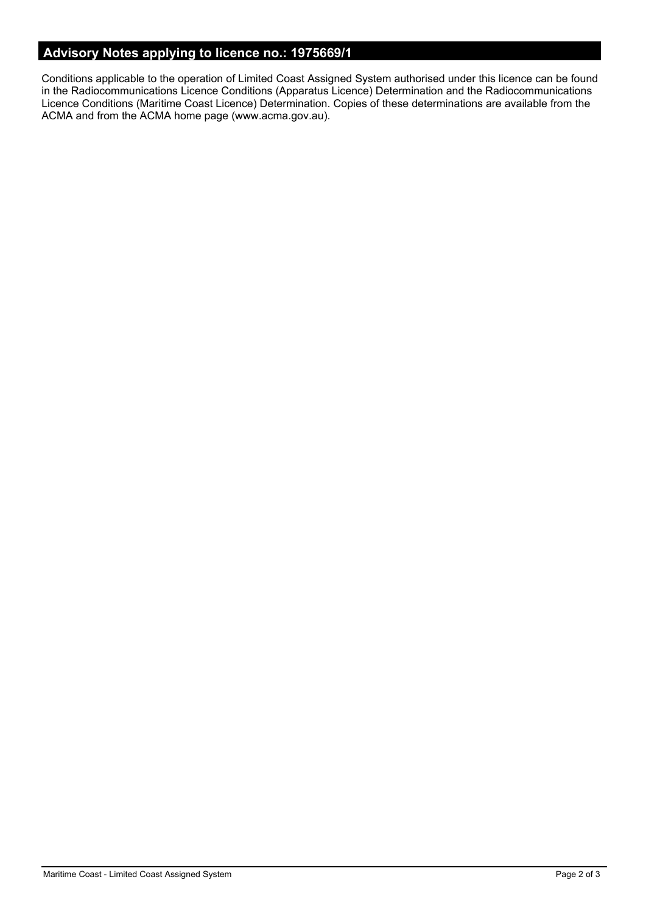# **Advisory Notes applying to licence no.: 1975669/1**

Conditions applicable to the operation of Limited Coast Assigned System authorised under this licence can be found in the Radiocommunications Licence Conditions (Apparatus Licence) Determination and the Radiocommunications Licence Conditions (Maritime Coast Licence) Determination. Copies of these determinations are available from the ACMA and from the ACMA home page (www.acma.gov.au).